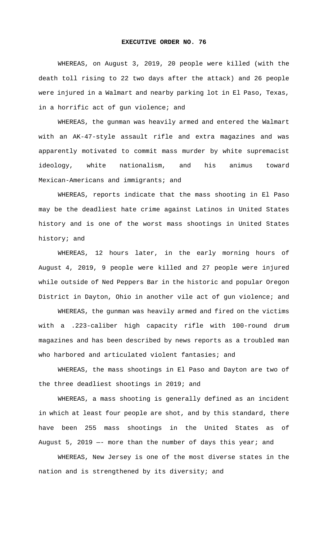## **EXECUTIVE ORDER NO. 76**

WHEREAS, on August 3, 2019, 20 people were killed (with the death toll rising to 22 two days after the attack) and 26 people were injured in a Walmart and nearby parking lot in El Paso, Texas, in a horrific act of gun violence; and

WHEREAS, the gunman was heavily armed and entered the Walmart with an AK-47-style assault rifle and extra magazines and was apparently motivated to commit mass murder by white supremacist ideology, white nationalism, and his animus toward Mexican-Americans and immigrants; and

WHEREAS, reports indicate that the mass shooting in El Paso may be the deadliest hate crime against Latinos in United States history and is one of the worst mass shootings in United States history; and

WHEREAS, 12 hours later, in the early morning hours of August 4, 2019, 9 people were killed and 27 people were injured while outside of Ned Peppers Bar in the historic and popular Oregon District in Dayton, Ohio in another vile act of gun violence; and

WHEREAS, the gunman was heavily armed and fired on the victims with a .223-caliber high capacity rifle with 100-round drum magazines and has been described by news reports as a troubled man who harbored and articulated violent fantasies; and

WHEREAS, the mass shootings in El Paso and Dayton are two of the three deadliest shootings in 2019; and

WHEREAS, a mass shooting is generally defined as an incident in which at least four people are shot, and by this standard, there have been 255 mass shootings in the United States as of August 5, 2019  $-$  more than the number of days this year; and

WHEREAS, New Jersey is one of the most diverse states in the nation and is strengthened by its diversity; and